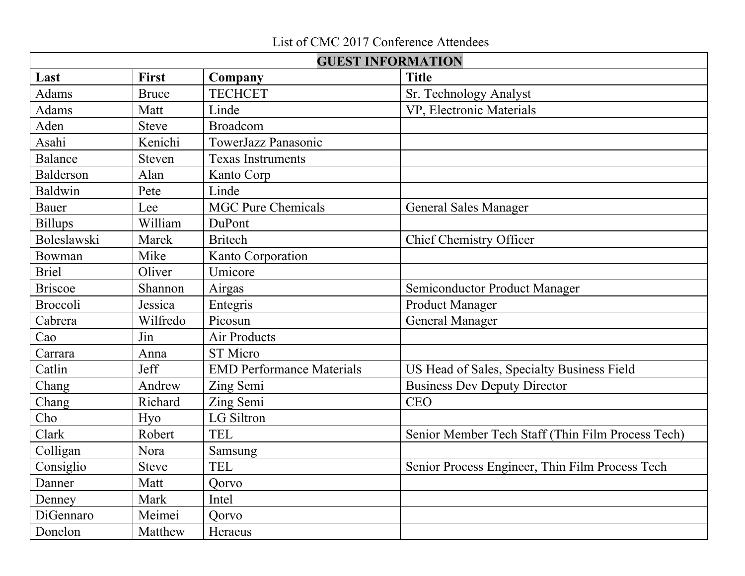## List of CMC 2017 Conference Attendees

| <b>GUEST INFORMATION</b> |              |                                  |                                                   |
|--------------------------|--------------|----------------------------------|---------------------------------------------------|
| Last                     | <b>First</b> | Company                          | <b>Title</b>                                      |
| <b>Adams</b>             | <b>Bruce</b> | <b>TECHCET</b>                   | Sr. Technology Analyst                            |
| Adams                    | Matt         | Linde                            | VP, Electronic Materials                          |
| Aden                     | <b>Steve</b> | Broadcom                         |                                                   |
| Asahi                    | Kenichi      | TowerJazz Panasonic              |                                                   |
| <b>Balance</b>           | Steven       | <b>Texas Instruments</b>         |                                                   |
| Balderson                | Alan         | Kanto Corp                       |                                                   |
| <b>Baldwin</b>           | Pete         | Linde                            |                                                   |
| <b>Bauer</b>             | Lee          | <b>MGC Pure Chemicals</b>        | <b>General Sales Manager</b>                      |
| <b>Billups</b>           | William      | DuPont                           |                                                   |
| Boleslawski              | Marek        | <b>Britech</b>                   | <b>Chief Chemistry Officer</b>                    |
| Bowman                   | Mike         | Kanto Corporation                |                                                   |
| <b>Briel</b>             | Oliver       | Umicore                          |                                                   |
| <b>Briscoe</b>           | Shannon      | Airgas                           | Semiconductor Product Manager                     |
| <b>Broccoli</b>          | Jessica      | Entegris                         | <b>Product Manager</b>                            |
| Cabrera                  | Wilfredo     | Picosun                          | <b>General Manager</b>                            |
| Cao                      | Jin          | Air Products                     |                                                   |
| Carrara                  | Anna         | <b>ST</b> Micro                  |                                                   |
| Catlin                   | Jeff         | <b>EMD Performance Materials</b> | US Head of Sales, Specialty Business Field        |
| Chang                    | Andrew       | Zing Semi                        | <b>Business Dev Deputy Director</b>               |
| Chang                    | Richard      | Zing Semi                        | <b>CEO</b>                                        |
| Cho                      | Hyo          | LG Siltron                       |                                                   |
| Clark                    | Robert       | <b>TEL</b>                       | Senior Member Tech Staff (Thin Film Process Tech) |
| Colligan                 | Nora         | Samsung                          |                                                   |
| Consiglio                | <b>Steve</b> | <b>TEL</b>                       | Senior Process Engineer, Thin Film Process Tech   |
| Danner                   | Matt         | <b>Qorvo</b>                     |                                                   |
| Denney                   | Mark         | Intel                            |                                                   |
| DiGennaro                | Meimei       | Qorvo                            |                                                   |
| Donelon                  | Matthew      | Heraeus                          |                                                   |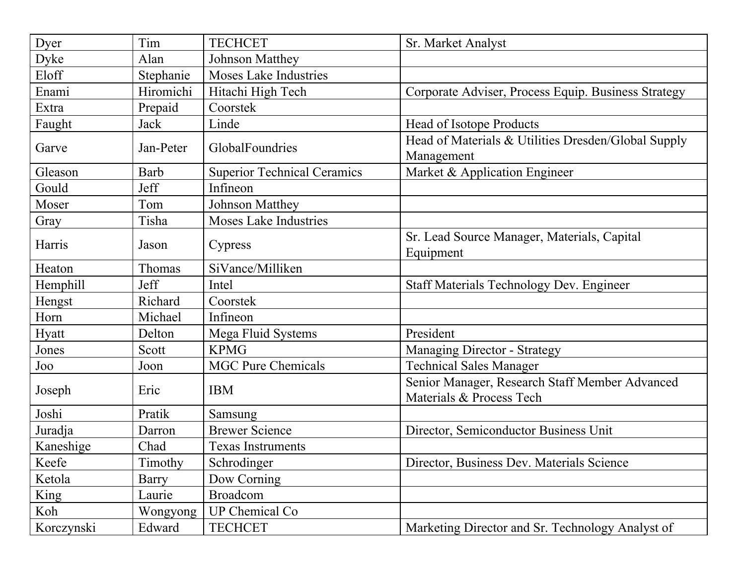| Dyer       | Tim       | <b>TECHCET</b>                     | Sr. Market Analyst                                                         |
|------------|-----------|------------------------------------|----------------------------------------------------------------------------|
| Dyke       | Alan      | Johnson Matthey                    |                                                                            |
| Eloff      | Stephanie | <b>Moses Lake Industries</b>       |                                                                            |
| Enami      | Hiromichi | Hitachi High Tech                  | Corporate Adviser, Process Equip. Business Strategy                        |
| Extra      | Prepaid   | Coorstek                           |                                                                            |
| Faught     | Jack      | Linde                              | Head of Isotope Products                                                   |
| Garve      | Jan-Peter | GlobalFoundries                    | Head of Materials & Utilities Dresden/Global Supply<br>Management          |
| Gleason    | Barb      | <b>Superior Technical Ceramics</b> | Market & Application Engineer                                              |
| Gould      | Jeff      | Infineon                           |                                                                            |
| Moser      | Tom       | Johnson Matthey                    |                                                                            |
| Gray       | Tisha     | <b>Moses Lake Industries</b>       |                                                                            |
| Harris     | Jason     | Cypress                            | Sr. Lead Source Manager, Materials, Capital<br>Equipment                   |
| Heaton     | Thomas    | SiVance/Milliken                   |                                                                            |
| Hemphill   | Jeff      | Intel                              | <b>Staff Materials Technology Dev. Engineer</b>                            |
| Hengst     | Richard   | Coorstek                           |                                                                            |
| Horn       | Michael   | Infineon                           |                                                                            |
| Hyatt      | Delton    | Mega Fluid Systems                 | President                                                                  |
| Jones      | Scott     | <b>KPMG</b>                        | <b>Managing Director - Strategy</b>                                        |
| Joo        | Joon      | <b>MGC Pure Chemicals</b>          | <b>Technical Sales Manager</b>                                             |
| Joseph     | Eric      | <b>IBM</b>                         | Senior Manager, Research Staff Member Advanced<br>Materials & Process Tech |
| Joshi      | Pratik    | Samsung                            |                                                                            |
| Juradja    | Darron    | <b>Brewer Science</b>              | Director, Semiconductor Business Unit                                      |
| Kaneshige  | Chad      | <b>Texas Instruments</b>           |                                                                            |
| Keefe      | Timothy   | Schrodinger                        | Director, Business Dev. Materials Science                                  |
| Ketola     | Barry     | Dow Corning                        |                                                                            |
| King       | Laurie    | <b>Broadcom</b>                    |                                                                            |
| Koh        | Wongyong  | <b>UP Chemical Co</b>              |                                                                            |
| Korczynski | Edward    | <b>TECHCET</b>                     | Marketing Director and Sr. Technology Analyst of                           |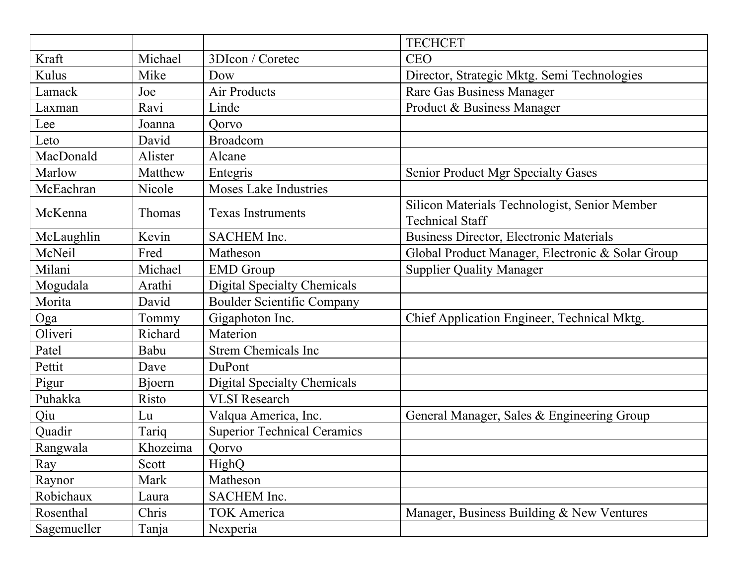|             |               |                                    | <b>TECHCET</b>                                                          |
|-------------|---------------|------------------------------------|-------------------------------------------------------------------------|
| Kraft       | Michael       | 3DIcon / Coretec                   | <b>CEO</b>                                                              |
| Kulus       | Mike          | Dow                                | Director, Strategic Mktg. Semi Technologies                             |
| Lamack      | Joe           | Air Products                       | Rare Gas Business Manager                                               |
| Laxman      | Ravi          | Linde                              | Product & Business Manager                                              |
| Lee         | Joanna        | Oorvo                              |                                                                         |
| Leto        | David         | <b>Broadcom</b>                    |                                                                         |
| MacDonald   | Alister       | Alcane                             |                                                                         |
| Marlow      | Matthew       | Entegris                           | <b>Senior Product Mgr Specialty Gases</b>                               |
| McEachran   | Nicole        | <b>Moses Lake Industries</b>       |                                                                         |
| McKenna     | <b>Thomas</b> | <b>Texas Instruments</b>           | Silicon Materials Technologist, Senior Member<br><b>Technical Staff</b> |
| McLaughlin  | Kevin         | <b>SACHEM</b> Inc.                 | <b>Business Director, Electronic Materials</b>                          |
| McNeil      | Fred          | Matheson                           | Global Product Manager, Electronic & Solar Group                        |
| Milani      | Michael       | <b>EMD</b> Group                   | <b>Supplier Quality Manager</b>                                         |
| Mogudala    | Arathi        | <b>Digital Specialty Chemicals</b> |                                                                         |
| Morita      | David         | <b>Boulder Scientific Company</b>  |                                                                         |
| Oga         | Tommy         | Gigaphoton Inc.                    | Chief Application Engineer, Technical Mktg.                             |
| Oliveri     | Richard       | Materion                           |                                                                         |
| Patel       | Babu          | <b>Strem Chemicals Inc</b>         |                                                                         |
| Pettit      | Dave          | DuPont                             |                                                                         |
| Pigur       | Bjoern        | <b>Digital Specialty Chemicals</b> |                                                                         |
| Puhakka     | Risto         | <b>VLSI</b> Research               |                                                                         |
| Qiu         | Lu            | Valqua America, Inc.               | General Manager, Sales & Engineering Group                              |
| Quadir      | Tariq         | <b>Superior Technical Ceramics</b> |                                                                         |
| Rangwala    | Khozeima      | Qorvo                              |                                                                         |
| Ray         | Scott         | HighQ                              |                                                                         |
| Raynor      | Mark          | Matheson                           |                                                                         |
| Robichaux   | Laura         | SACHEM Inc.                        |                                                                         |
| Rosenthal   | Chris         | <b>TOK America</b>                 | Manager, Business Building & New Ventures                               |
| Sagemueller | Tanja         | Nexperia                           |                                                                         |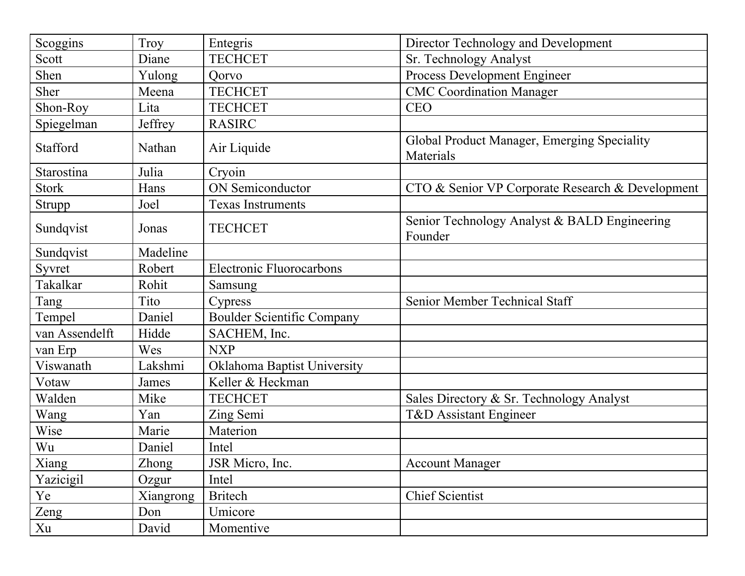| Scoggins       | Troy      | Entegris                          | Director Technology and Development                      |
|----------------|-----------|-----------------------------------|----------------------------------------------------------|
| Scott          | Diane     | <b>TECHCET</b>                    | Sr. Technology Analyst                                   |
| Shen           | Yulong    | Qorvo                             | Process Development Engineer                             |
| Sher           | Meena     | <b>TECHCET</b>                    | <b>CMC Coordination Manager</b>                          |
| Shon-Roy       | Lita      | <b>TECHCET</b>                    | <b>CEO</b>                                               |
| Spiegelman     | Jeffrey   | <b>RASIRC</b>                     |                                                          |
| Stafford       | Nathan    | Air Liquide                       | Global Product Manager, Emerging Speciality<br>Materials |
| Starostina     | Julia     | Cryoin                            |                                                          |
| <b>Stork</b>   | Hans      | <b>ON</b> Semiconductor           | CTO & Senior VP Corporate Research & Development         |
| Strupp         | Joel      | <b>Texas Instruments</b>          |                                                          |
| Sundqvist      | Jonas     | <b>TECHCET</b>                    | Senior Technology Analyst & BALD Engineering<br>Founder  |
| Sundqvist      | Madeline  |                                   |                                                          |
| Syvret         | Robert    | <b>Electronic Fluorocarbons</b>   |                                                          |
| Takalkar       | Rohit     | Samsung                           |                                                          |
| Tang           | Tito      | Cypress                           | Senior Member Technical Staff                            |
| Tempel         | Daniel    | <b>Boulder Scientific Company</b> |                                                          |
| van Assendelft | Hidde     | SACHEM, Inc.                      |                                                          |
| van Erp        | Wes       | <b>NXP</b>                        |                                                          |
| Viswanath      | Lakshmi   | Oklahoma Baptist University       |                                                          |
| Votaw          | James     | Keller & Heckman                  |                                                          |
| Walden         | Mike      | <b>TECHCET</b>                    | Sales Directory & Sr. Technology Analyst                 |
| Wang           | Yan       | Zing Semi                         | T&D Assistant Engineer                                   |
| Wise           | Marie     | Materion                          |                                                          |
| Wu             | Daniel    | Intel                             |                                                          |
| Xiang          | Zhong     | JSR Micro, Inc.                   | <b>Account Manager</b>                                   |
| Yazicigil      | Ozgur     | Intel                             |                                                          |
| Ye             | Xiangrong | <b>Britech</b>                    | <b>Chief Scientist</b>                                   |
| Zeng           | Don       | Umicore                           |                                                          |
| Xu             | David     | Momentive                         |                                                          |